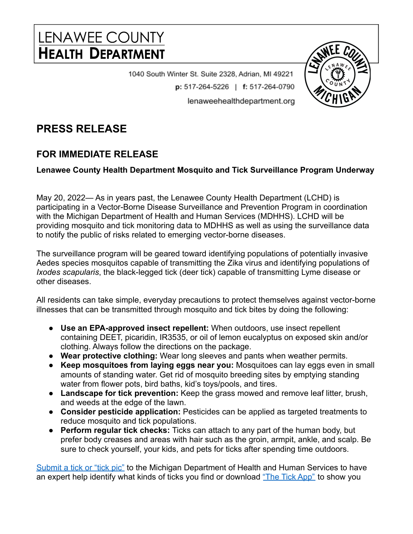## LENAWEE COUNTY **HEALTH DEPARTMENT**

1040 South Winter St. Suite 2328, Adrian, MI 49221 p: 517-264-5226 | f: 517-264-0790 lenaweehealthdepartment.org

## **PRESS RELEASE**

## **FOR IMMEDIATE RELEASE**

## **Lenawee County Health Department Mosquito and Tick Surveillance Program Underway**

May 20, 2022— As in years past, the Lenawee County Health Department (LCHD) is participating in a Vector-Borne Disease Surveillance and Prevention Program in coordination with the Michigan Department of Health and Human Services (MDHHS). LCHD will be providing mosquito and tick monitoring data to MDHHS as well as using the surveillance data to notify the public of risks related to emerging vector-borne diseases.

The surveillance program will be geared toward identifying populations of potentially invasive Aedes species mosquitos capable of transmitting the Zika virus and identifying populations of *Ixodes scapularis*, the black-legged tick (deer tick) capable of transmitting Lyme disease or other diseases.

All residents can take simple, everyday precautions to protect themselves against vector-borne illnesses that can be transmitted through mosquito and tick bites by doing the following:

- **Use an EPA-approved insect repellent:** When outdoors, use insect repellent containing DEET, picaridin, IR3535, or oil of lemon eucalyptus on exposed skin and/or clothing. Always follow the directions on the package.
- **Wear protective clothing:** Wear long sleeves and pants when weather permits.
- **Keep mosquitoes from laying eggs near you:** Mosquitoes can lay eggs even in small amounts of standing water. Get rid of mosquito breeding sites by emptying standing water from flower pots, bird baths, kid's toys/pools, and tires.
- **Landscape for tick prevention:** Keep the grass mowed and remove leaf litter, brush, and weeds at the edge of the lawn.
- **Consider pesticide application:** Pesticides can be applied as targeted treatments to reduce mosquito and tick populations.
- **Perform regular tick checks:** Ticks can attach to any part of the human body, but prefer body creases and areas with hair such as the groin, armpit, ankle, and scalp. Be sure to check yourself, your kids, and pets for ticks after spending time outdoors.

[Submit a tick or "tick pic"](https://www.michigan.gov/documents/emergingdiseases/Tick_Photo_Details_619910_7.pdf) to the Michigan Department of Health and Human Services to have an expert help identify what kinds of ticks you find or download ["The Tick App"](https://thetickapp.org/web-app/) to show you